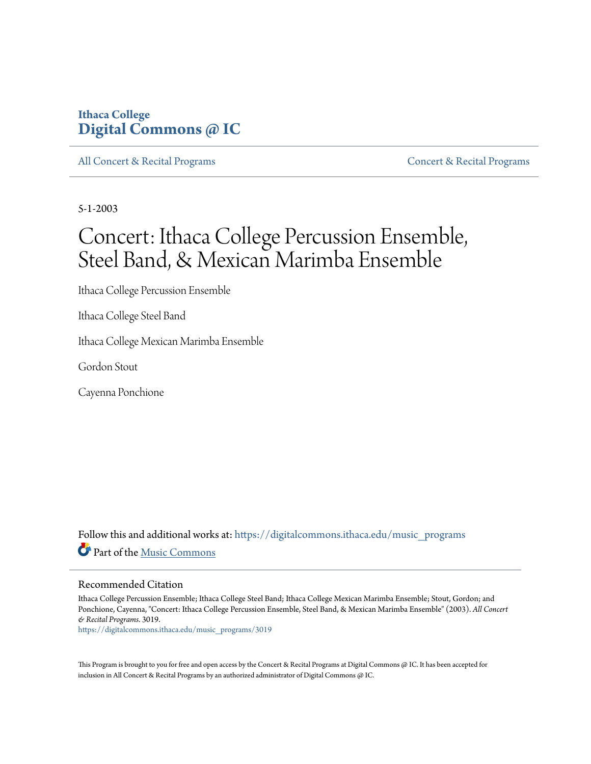## **Ithaca College [Digital Commons @ IC](https://digitalcommons.ithaca.edu?utm_source=digitalcommons.ithaca.edu%2Fmusic_programs%2F3019&utm_medium=PDF&utm_campaign=PDFCoverPages)**

[All Concert & Recital Programs](https://digitalcommons.ithaca.edu/music_programs?utm_source=digitalcommons.ithaca.edu%2Fmusic_programs%2F3019&utm_medium=PDF&utm_campaign=PDFCoverPages) **[Concert & Recital Programs](https://digitalcommons.ithaca.edu/som_programs?utm_source=digitalcommons.ithaca.edu%2Fmusic_programs%2F3019&utm_medium=PDF&utm_campaign=PDFCoverPages)** Concert & Recital Programs

5-1-2003

# Concert: Ithaca College Percussion Ensemble, Steel Band, & Mexican Marimba Ensemble

Ithaca College Percussion Ensemble

Ithaca College Steel Band

Ithaca College Mexican Marimba Ensemble

Gordon Stout

Cayenna Ponchione

Follow this and additional works at: [https://digitalcommons.ithaca.edu/music\\_programs](https://digitalcommons.ithaca.edu/music_programs?utm_source=digitalcommons.ithaca.edu%2Fmusic_programs%2F3019&utm_medium=PDF&utm_campaign=PDFCoverPages) Part of the [Music Commons](http://network.bepress.com/hgg/discipline/518?utm_source=digitalcommons.ithaca.edu%2Fmusic_programs%2F3019&utm_medium=PDF&utm_campaign=PDFCoverPages)

#### Recommended Citation

Ithaca College Percussion Ensemble; Ithaca College Steel Band; Ithaca College Mexican Marimba Ensemble; Stout, Gordon; and Ponchione, Cayenna, "Concert: Ithaca College Percussion Ensemble, Steel Band, & Mexican Marimba Ensemble" (2003). *All Concert & Recital Programs*. 3019.

[https://digitalcommons.ithaca.edu/music\\_programs/3019](https://digitalcommons.ithaca.edu/music_programs/3019?utm_source=digitalcommons.ithaca.edu%2Fmusic_programs%2F3019&utm_medium=PDF&utm_campaign=PDFCoverPages)

This Program is brought to you for free and open access by the Concert & Recital Programs at Digital Commons @ IC. It has been accepted for inclusion in All Concert & Recital Programs by an authorized administrator of Digital Commons @ IC.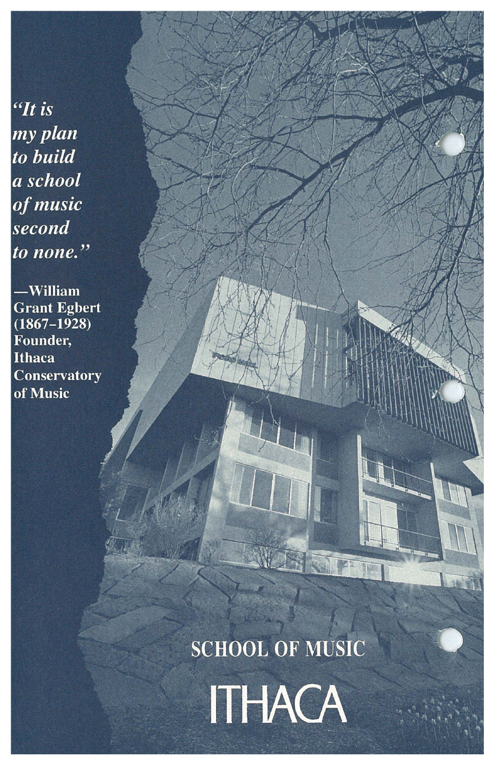"It is my plan to build a school of music second to none."

 $-William$ Grant Egbert<br>(1867–1928) Founder. **Ithaca** Conservatory of Music

**SCHOOL OF MUSIC** 

ITHACA